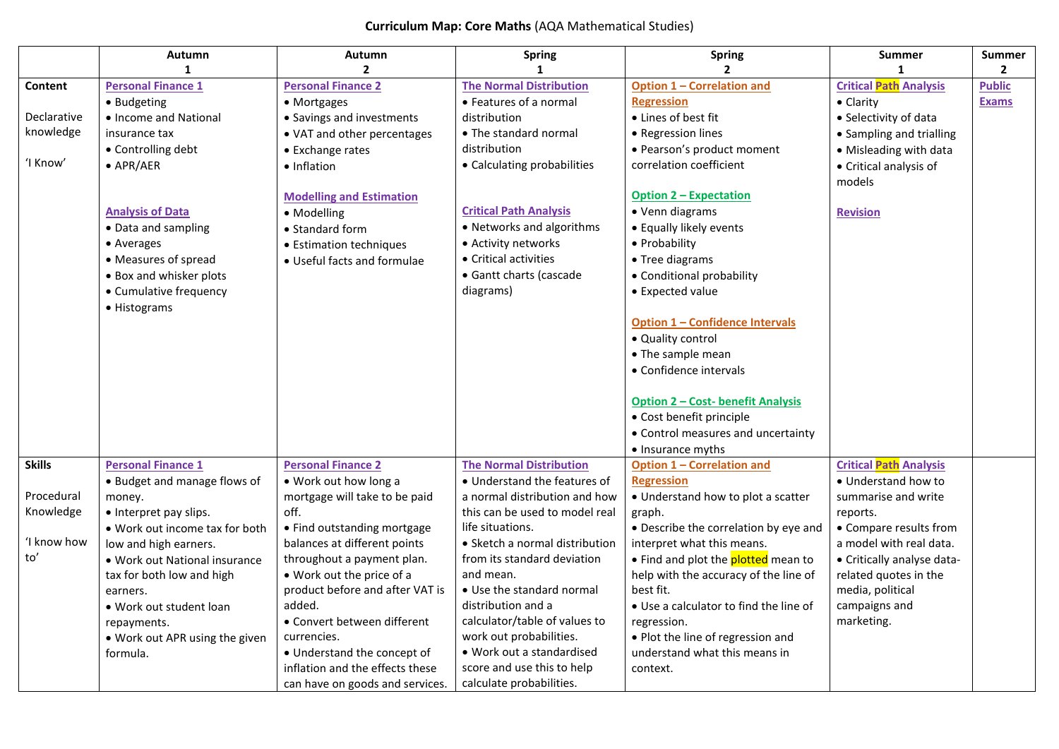## **Curriculum Map: Core Maths** (AQA Mathematical Studies)

|               | Autumn                         | Autumn                          | <b>Spring</b>                  | <b>Spring</b>                              | <b>Summer</b>                 | Summer         |
|---------------|--------------------------------|---------------------------------|--------------------------------|--------------------------------------------|-------------------------------|----------------|
|               | $\mathbf{1}$                   | $\overline{2}$                  |                                | $\mathbf{z}$                               |                               | $\overline{2}$ |
| Content       | <b>Personal Finance 1</b>      | <b>Personal Finance 2</b>       | <b>The Normal Distribution</b> | <b>Option 1 - Correlation and</b>          | <b>Critical Path Analysis</b> | <b>Public</b>  |
|               | • Budgeting                    | • Mortgages                     | • Features of a normal         | <b>Regression</b>                          | • Clarity                     | <b>Exams</b>   |
| Declarative   | • Income and National          | • Savings and investments       | distribution                   | • Lines of best fit                        | • Selectivity of data         |                |
| knowledge     | insurance tax                  | • VAT and other percentages     | • The standard normal          | • Regression lines                         | • Sampling and trialling      |                |
|               | • Controlling debt             | • Exchange rates                | distribution                   | · Pearson's product moment                 | • Misleading with data        |                |
| 'I Know'      | $\bullet$ APR/AER              | • Inflation                     | • Calculating probabilities    | correlation coefficient                    | • Critical analysis of        |                |
|               |                                |                                 |                                |                                            | models                        |                |
|               |                                | <b>Modelling and Estimation</b> |                                | <b>Option 2 - Expectation</b>              |                               |                |
|               | <b>Analysis of Data</b>        | • Modelling                     | <b>Critical Path Analysis</b>  | • Venn diagrams                            | <b>Revision</b>               |                |
|               | • Data and sampling            | • Standard form                 | • Networks and algorithms      | • Equally likely events                    |                               |                |
|               | • Averages                     | • Estimation techniques         | • Activity networks            | • Probability                              |                               |                |
|               | • Measures of spread           | • Useful facts and formulae     | • Critical activities          | • Tree diagrams                            |                               |                |
|               | • Box and whisker plots        |                                 | • Gantt charts (cascade        | • Conditional probability                  |                               |                |
|               | • Cumulative frequency         |                                 | diagrams)                      | • Expected value                           |                               |                |
|               | • Histograms                   |                                 |                                |                                            |                               |                |
|               |                                |                                 |                                | <b>Option 1 - Confidence Intervals</b>     |                               |                |
|               |                                |                                 |                                | • Quality control                          |                               |                |
|               |                                |                                 |                                | • The sample mean                          |                               |                |
|               |                                |                                 |                                | • Confidence intervals                     |                               |                |
|               |                                |                                 |                                |                                            |                               |                |
|               |                                |                                 |                                | <u> Option 2 – Cost- benefit Analysis</u>  |                               |                |
|               |                                |                                 |                                | • Cost benefit principle                   |                               |                |
|               |                                |                                 |                                | • Control measures and uncertainty         |                               |                |
|               |                                |                                 |                                | • Insurance myths                          |                               |                |
| <b>Skills</b> | <b>Personal Finance 1</b>      | <b>Personal Finance 2</b>       | <b>The Normal Distribution</b> | <b>Option 1 - Correlation and</b>          | <b>Critical Path Analysis</b> |                |
|               | • Budget and manage flows of   | • Work out how long a           | • Understand the features of   | <b>Regression</b>                          | • Understand how to           |                |
| Procedural    | money.                         | mortgage will take to be paid   | a normal distribution and how  | • Understand how to plot a scatter         | summarise and write           |                |
| Knowledge     | • Interpret pay slips.         | off.                            | this can be used to model real | graph.                                     | reports.                      |                |
|               | . Work out income tax for both | • Find outstanding mortgage     | life situations.               | • Describe the correlation by eye and      | • Compare results from        |                |
| 'I know how   | low and high earners.          | balances at different points    | • Sketch a normal distribution | interpret what this means.                 | a model with real data.       |                |
| to'           | • Work out National insurance  | throughout a payment plan.      | from its standard deviation    | • Find and plot the <b>plotted</b> mean to | • Critically analyse data-    |                |
|               | tax for both low and high      | • Work out the price of a       | and mean.                      | help with the accuracy of the line of      | related quotes in the         |                |
|               | earners.                       | product before and after VAT is | • Use the standard normal      | best fit.                                  | media, political              |                |
|               | • Work out student loan        | added.                          | distribution and a             | • Use a calculator to find the line of     | campaigns and                 |                |
|               | repayments.                    | • Convert between different     | calculator/table of values to  | regression.                                | marketing.                    |                |
|               | . Work out APR using the given | currencies.                     | work out probabilities.        | • Plot the line of regression and          |                               |                |
|               | formula.                       | • Understand the concept of     | • Work out a standardised      | understand what this means in              |                               |                |
|               |                                | inflation and the effects these | score and use this to help     | context.                                   |                               |                |
|               |                                | can have on goods and services. | calculate probabilities.       |                                            |                               |                |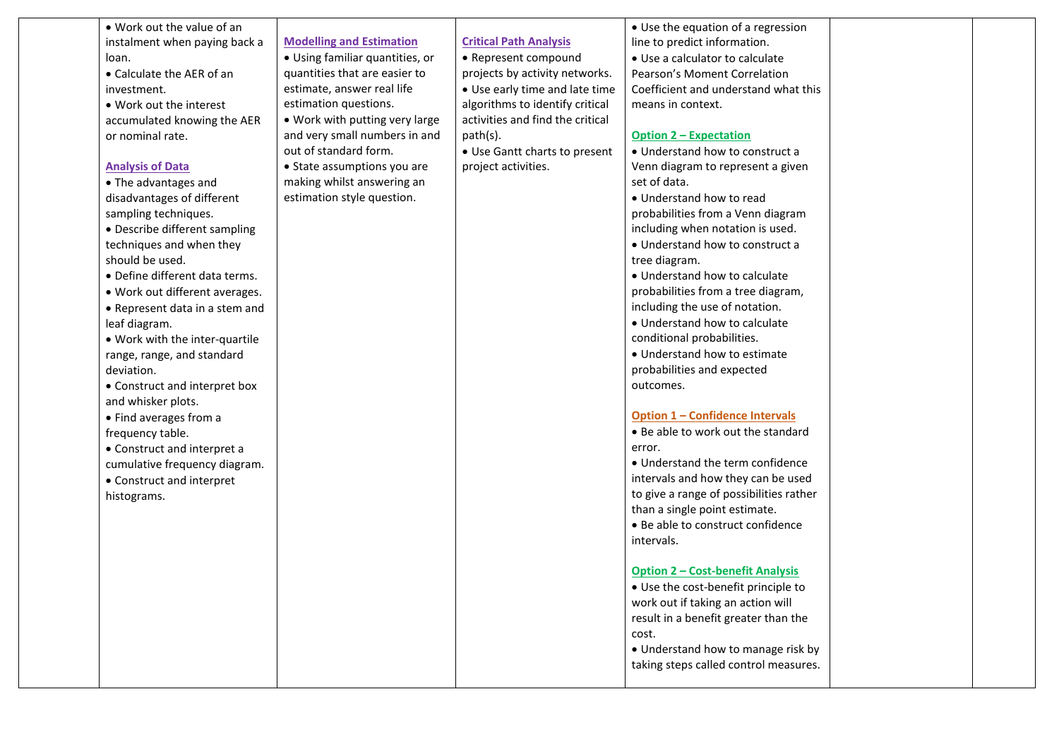| . Work out the value of an     |                                 |                                  | • Use the equation of a regression      |  |
|--------------------------------|---------------------------------|----------------------------------|-----------------------------------------|--|
| instalment when paying back a  | <b>Modelling and Estimation</b> | <b>Critical Path Analysis</b>    | line to predict information.            |  |
| loan.                          | · Using familiar quantities, or | • Represent compound             | • Use a calculator to calculate         |  |
| • Calculate the AER of an      | quantities that are easier to   | projects by activity networks.   | Pearson's Moment Correlation            |  |
| investment.                    | estimate, answer real life      | • Use early time and late time   | Coefficient and understand what this    |  |
| • Work out the interest        | estimation questions.           | algorithms to identify critical  | means in context.                       |  |
| accumulated knowing the AER    | . Work with putting very large  | activities and find the critical |                                         |  |
| or nominal rate.               | and very small numbers in and   | path(s).                         | <u> Option 2 – Expectation</u>          |  |
|                                | out of standard form.           | • Use Gantt charts to present    | • Understand how to construct a         |  |
| <b>Analysis of Data</b>        | • State assumptions you are     | project activities.              | Venn diagram to represent a given       |  |
| • The advantages and           | making whilst answering an      |                                  | set of data.                            |  |
| disadvantages of different     | estimation style question.      |                                  | • Understand how to read                |  |
| sampling techniques.           |                                 |                                  | probabilities from a Venn diagram       |  |
| • Describe different sampling  |                                 |                                  | including when notation is used.        |  |
| techniques and when they       |                                 |                                  | • Understand how to construct a         |  |
| should be used.                |                                 |                                  | tree diagram.                           |  |
| • Define different data terms. |                                 |                                  | • Understand how to calculate           |  |
| . Work out different averages. |                                 |                                  | probabilities from a tree diagram,      |  |
| • Represent data in a stem and |                                 |                                  | including the use of notation.          |  |
| leaf diagram.                  |                                 |                                  | • Understand how to calculate           |  |
| . Work with the inter-quartile |                                 |                                  | conditional probabilities.              |  |
| range, range, and standard     |                                 |                                  | • Understand how to estimate            |  |
| deviation.                     |                                 |                                  | probabilities and expected              |  |
| • Construct and interpret box  |                                 |                                  | outcomes.                               |  |
| and whisker plots.             |                                 |                                  |                                         |  |
| • Find averages from a         |                                 |                                  | <b>Option 1 - Confidence Intervals</b>  |  |
| frequency table.               |                                 |                                  | • Be able to work out the standard      |  |
| • Construct and interpret a    |                                 |                                  | error.                                  |  |
| cumulative frequency diagram.  |                                 |                                  | • Understand the term confidence        |  |
| • Construct and interpret      |                                 |                                  | intervals and how they can be used      |  |
| histograms.                    |                                 |                                  | to give a range of possibilities rather |  |
|                                |                                 |                                  | than a single point estimate.           |  |
|                                |                                 |                                  | • Be able to construct confidence       |  |
|                                |                                 |                                  | intervals.                              |  |
|                                |                                 |                                  |                                         |  |
|                                |                                 |                                  | <b>Option 2 - Cost-benefit Analysis</b> |  |
|                                |                                 |                                  | • Use the cost-benefit principle to     |  |
|                                |                                 |                                  | work out if taking an action will       |  |
|                                |                                 |                                  | result in a benefit greater than the    |  |
|                                |                                 |                                  | cost.                                   |  |
|                                |                                 |                                  | • Understand how to manage risk by      |  |
|                                |                                 |                                  | taking steps called control measures.   |  |
|                                |                                 |                                  |                                         |  |
|                                |                                 |                                  |                                         |  |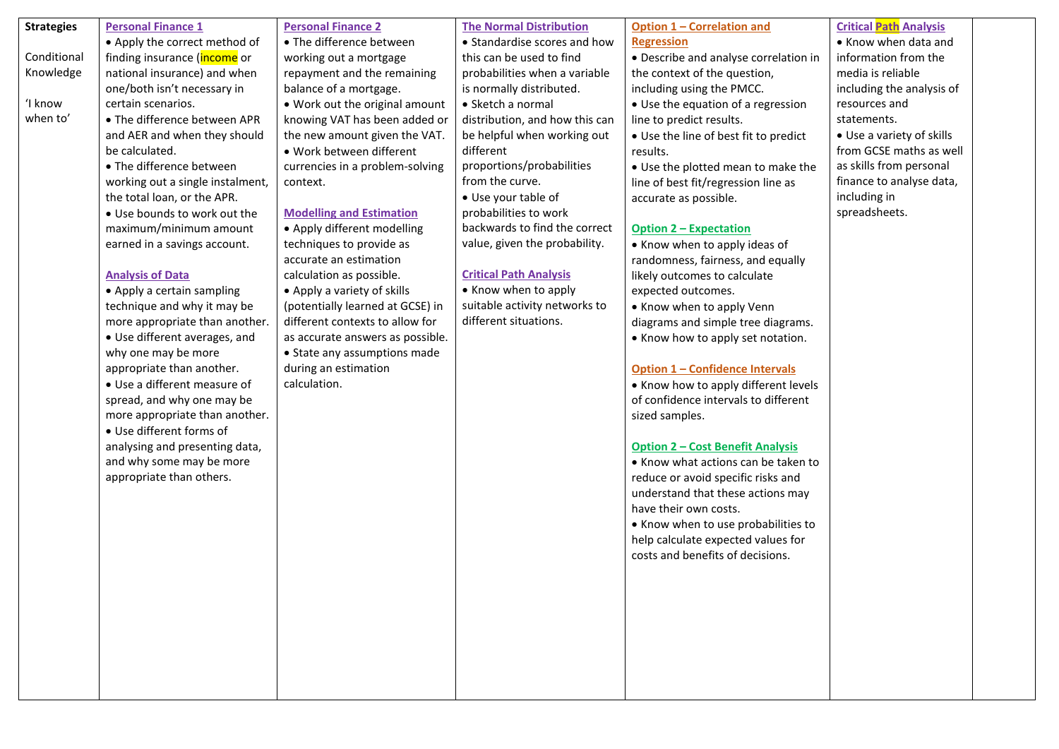| <b>Strategies</b> | <b>Personal Finance 1</b>                            | <b>Personal Finance 2</b>                                           | <b>The Normal Distribution</b>                         | <b>Option 1 - Correlation and</b>       | <b>Critical Path Analysis</b> |  |
|-------------------|------------------------------------------------------|---------------------------------------------------------------------|--------------------------------------------------------|-----------------------------------------|-------------------------------|--|
|                   | • Apply the correct method of                        | • The difference between                                            | • Standardise scores and how                           | <b>Regression</b>                       | • Know when data and          |  |
| Conditional       | finding insurance (income or                         | working out a mortgage                                              | this can be used to find                               | • Describe and analyse correlation in   | information from the          |  |
| Knowledge         | national insurance) and when                         | repayment and the remaining                                         | probabilities when a variable                          | the context of the question,            | media is reliable             |  |
|                   | one/both isn't necessary in                          | balance of a mortgage.                                              | is normally distributed.                               | including using the PMCC.               | including the analysis of     |  |
| 'I know           | certain scenarios.                                   | • Work out the original amount                                      | • Sketch a normal                                      | • Use the equation of a regression      | resources and                 |  |
| when to'          | • The difference between APR                         | knowing VAT has been added or                                       | distribution, and how this can                         | line to predict results.                | statements.                   |  |
|                   | and AER and when they should                         | the new amount given the VAT.                                       | be helpful when working out                            | • Use the line of best fit to predict   | • Use a variety of skills     |  |
|                   | be calculated.                                       | • Work between different                                            | different                                              | results.                                | from GCSE maths as well       |  |
|                   | • The difference between                             | currencies in a problem-solving                                     | proportions/probabilities                              | • Use the plotted mean to make the      | as skills from personal       |  |
|                   | working out a single instalment,                     | context.                                                            | from the curve.                                        | line of best fit/regression line as     | finance to analyse data,      |  |
|                   | the total loan, or the APR.                          |                                                                     | • Use your table of                                    | accurate as possible.                   | including in                  |  |
|                   | . Use bounds to work out the                         | <b>Modelling and Estimation</b>                                     | probabilities to work                                  |                                         | spreadsheets.                 |  |
|                   | maximum/minimum amount                               | • Apply different modelling                                         | backwards to find the correct                          | <b>Option 2 - Expectation</b>           |                               |  |
|                   | earned in a savings account.                         | techniques to provide as                                            | value, given the probability.                          | • Know when to apply ideas of           |                               |  |
|                   |                                                      | accurate an estimation                                              |                                                        | randomness, fairness, and equally       |                               |  |
|                   | <b>Analysis of Data</b>                              | calculation as possible.                                            | <b>Critical Path Analysis</b>                          | likely outcomes to calculate            |                               |  |
|                   | • Apply a certain sampling                           | • Apply a variety of skills                                         | • Know when to apply                                   | expected outcomes.                      |                               |  |
|                   | technique and why it may be                          | (potentially learned at GCSE) in                                    | suitable activity networks to<br>different situations. | • Know when to apply Venn               |                               |  |
|                   | more appropriate than another.                       | different contexts to allow for<br>as accurate answers as possible. |                                                        | diagrams and simple tree diagrams.      |                               |  |
|                   | • Use different averages, and<br>why one may be more | • State any assumptions made                                        |                                                        | • Know how to apply set notation.       |                               |  |
|                   | appropriate than another.                            | during an estimation                                                |                                                        | <b>Option 1 - Confidence Intervals</b>  |                               |  |
|                   | • Use a different measure of                         | calculation.                                                        |                                                        | • Know how to apply different levels    |                               |  |
|                   | spread, and why one may be                           |                                                                     |                                                        | of confidence intervals to different    |                               |  |
|                   | more appropriate than another.                       |                                                                     |                                                        | sized samples.                          |                               |  |
|                   | • Use different forms of                             |                                                                     |                                                        |                                         |                               |  |
|                   | analysing and presenting data,                       |                                                                     |                                                        | <b>Option 2 - Cost Benefit Analysis</b> |                               |  |
|                   | and why some may be more                             |                                                                     |                                                        | • Know what actions can be taken to     |                               |  |
|                   | appropriate than others.                             |                                                                     |                                                        | reduce or avoid specific risks and      |                               |  |
|                   |                                                      |                                                                     |                                                        | understand that these actions may       |                               |  |
|                   |                                                      |                                                                     |                                                        | have their own costs.                   |                               |  |
|                   |                                                      |                                                                     |                                                        | • Know when to use probabilities to     |                               |  |
|                   |                                                      |                                                                     |                                                        | help calculate expected values for      |                               |  |
|                   |                                                      |                                                                     |                                                        | costs and benefits of decisions.        |                               |  |
|                   |                                                      |                                                                     |                                                        |                                         |                               |  |
|                   |                                                      |                                                                     |                                                        |                                         |                               |  |
|                   |                                                      |                                                                     |                                                        |                                         |                               |  |
|                   |                                                      |                                                                     |                                                        |                                         |                               |  |
|                   |                                                      |                                                                     |                                                        |                                         |                               |  |
|                   |                                                      |                                                                     |                                                        |                                         |                               |  |
|                   |                                                      |                                                                     |                                                        |                                         |                               |  |
|                   |                                                      |                                                                     |                                                        |                                         |                               |  |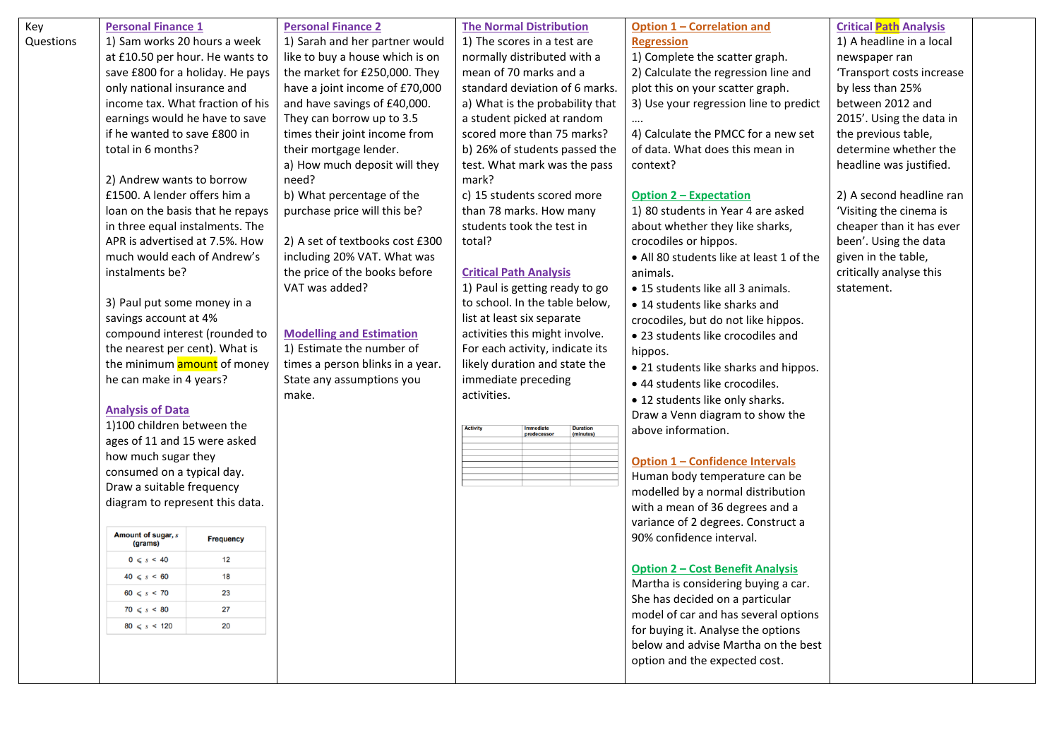| Key       | <b>Personal Finance 1</b>        |                  | <b>Personal Finance 2</b>        | <b>The Normal Distribution</b>                                |                     |                                | Option 1 - Correlation and                                                 | <b>Critical Path Analysis</b> |
|-----------|----------------------------------|------------------|----------------------------------|---------------------------------------------------------------|---------------------|--------------------------------|----------------------------------------------------------------------------|-------------------------------|
| Questions | 1) Sam works 20 hours a week     |                  | 1) Sarah and her partner would   | 1) The scores in a test are                                   |                     |                                | <b>Regression</b>                                                          | 1) A headline in a local      |
|           | at £10.50 per hour. He wants to  |                  | like to buy a house which is on  | normally distributed with a                                   |                     |                                | 1) Complete the scatter graph.                                             | newspaper ran                 |
|           | save £800 for a holiday. He pays |                  | the market for £250,000. They    | mean of 70 marks and a                                        |                     |                                | 2) Calculate the regression line and                                       | 'Transport costs increase     |
|           | only national insurance and      |                  | have a joint income of £70,000   | standard deviation of 6 marks.                                |                     |                                | plot this on your scatter graph.                                           | by less than 25%              |
|           | income tax. What fraction of his |                  | and have savings of £40,000.     | a) What is the probability that                               |                     |                                | 3) Use your regression line to predict                                     | between 2012 and              |
|           | earnings would he have to save   |                  | They can borrow up to 3.5        | a student picked at random                                    |                     |                                |                                                                            | 2015'. Using the data in      |
|           | if he wanted to save £800 in     |                  | times their joint income from    | scored more than 75 marks?                                    |                     |                                | 4) Calculate the PMCC for a new set                                        | the previous table,           |
|           | total in 6 months?               |                  | their mortgage lender.           | b) 26% of students passed the<br>test. What mark was the pass |                     |                                | of data. What does this mean in                                            | determine whether the         |
|           |                                  |                  | a) How much deposit will they    |                                                               |                     |                                | context?                                                                   | headline was justified.       |
|           | 2) Andrew wants to borrow        |                  | need?                            | mark?                                                         |                     |                                |                                                                            |                               |
|           | £1500. A lender offers him a     |                  | b) What percentage of the        | c) 15 students scored more                                    |                     |                                | <b>Option 2 - Expectation</b>                                              | 2) A second headline ran      |
|           | loan on the basis that he repays |                  | purchase price will this be?     | than 78 marks. How many                                       |                     |                                | 1) 80 students in Year 4 are asked                                         | 'Visiting the cinema is       |
|           | in three equal instalments. The  |                  |                                  | students took the test in                                     |                     |                                | about whether they like sharks,                                            | cheaper than it has ever      |
|           | APR is advertised at 7.5%. How   |                  | 2) A set of textbooks cost £300  | total?                                                        |                     |                                | crocodiles or hippos.                                                      | been'. Using the data         |
|           | much would each of Andrew's      |                  | including 20% VAT. What was      |                                                               |                     |                                | • All 80 students like at least 1 of the                                   | given in the table,           |
|           | instalments be?                  |                  | the price of the books before    | <b>Critical Path Analysis</b>                                 |                     |                                | animals.                                                                   | critically analyse this       |
|           |                                  |                  | VAT was added?                   | 1) Paul is getting ready to go                                |                     |                                | • 15 students like all 3 animals.                                          | statement.                    |
|           | 3) Paul put some money in a      |                  |                                  | to school. In the table below,                                |                     |                                | • 14 students like sharks and                                              |                               |
|           | savings account at 4%            |                  |                                  | list at least six separate<br>activities this might involve.  |                     |                                | crocodiles, but do not like hippos.                                        |                               |
|           | compound interest (rounded to    |                  | <b>Modelling and Estimation</b>  |                                                               |                     |                                | • 23 students like crocodiles and                                          |                               |
|           | the nearest per cent). What is   |                  | 1) Estimate the number of        | For each activity, indicate its                               |                     |                                | hippos.                                                                    |                               |
|           | the minimum amount of money      |                  | times a person blinks in a year. | likely duration and state the                                 |                     |                                | • 21 students like sharks and hippos.                                      |                               |
|           | he can make in 4 years?          |                  | State any assumptions you        |                                                               | immediate preceding | • 44 students like crocodiles. |                                                                            |                               |
|           |                                  |                  | make.                            | activities.                                                   |                     |                                | • 12 students like only sharks.                                            |                               |
|           | <b>Analysis of Data</b>          |                  |                                  |                                                               |                     |                                | Draw a Venn diagram to show the                                            |                               |
|           | 1)100 children between the       |                  |                                  | <b>Activity</b>                                               | Immediate           | <b>Duration</b>                | above information.                                                         |                               |
|           | ages of 11 and 15 were asked     |                  |                                  |                                                               |                     |                                |                                                                            |                               |
|           | how much sugar they              |                  |                                  |                                                               |                     |                                | <b>Option 1 - Confidence Intervals</b>                                     |                               |
|           | consumed on a typical day.       |                  |                                  |                                                               |                     |                                | Human body temperature can be                                              |                               |
|           | Draw a suitable frequency        |                  |                                  |                                                               |                     |                                | modelled by a normal distribution                                          |                               |
|           | diagram to represent this data.  |                  |                                  |                                                               |                     |                                | with a mean of 36 degrees and a                                            |                               |
|           |                                  |                  |                                  |                                                               |                     |                                | variance of 2 degrees. Construct a                                         |                               |
|           | Amount of sugar, s<br>(grams)    | <b>Frequency</b> |                                  |                                                               |                     |                                | 90% confidence interval.                                                   |                               |
|           | $0 \leqslant s \leqslant 40$     | 12               |                                  |                                                               |                     |                                |                                                                            |                               |
|           | $40 \leq s \leq 60$              | 18               |                                  |                                                               |                     |                                | <b>Option 2 - Cost Benefit Analysis</b>                                    |                               |
|           | $60 \leq s \leq 70$              | 23               |                                  |                                                               |                     |                                | Martha is considering buying a car.                                        |                               |
|           | $70 \le s \le 80$                | 27               |                                  |                                                               |                     |                                | She has decided on a particular                                            |                               |
|           | $80 \leq s \leq 120$             | 20               |                                  |                                                               |                     |                                | model of car and has several options<br>for buying it. Analyse the options |                               |
|           |                                  |                  |                                  |                                                               |                     |                                | below and advise Martha on the best                                        |                               |
|           |                                  |                  |                                  |                                                               |                     |                                | option and the expected cost.                                              |                               |
|           |                                  |                  |                                  |                                                               |                     |                                |                                                                            |                               |